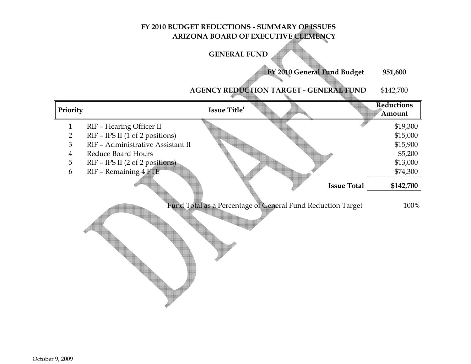# **FY 2010 BUDGET REDUCTIONS - SUMMARY OF ISSUESARIZONA BOARD OF EXECUTIVE CLEMENCY**

# **GENERAL FUND**

**FY 2010 General Fund Budget 951,600**

#### **AGENCY REDUCTION TARGET - GENERAL FUND**\$142,700

| Priority       |                                   | Issue Title <sup>1</sup> |                                                             | <b>Reductions</b><br>Amount     |
|----------------|-----------------------------------|--------------------------|-------------------------------------------------------------|---------------------------------|
| $\mathbf{1}$   | RIF - Hearing Officer II          |                          |                                                             | \$19,300                        |
| $\overline{2}$ | RIF - IPS II (1 of 2 positions)   |                          |                                                             | \$15,000                        |
| 3              | RIF - Administrative Assistant II |                          |                                                             | \$15,900                        |
| $\overline{4}$ | Reduce Board Hours                |                          |                                                             | \$5,200                         |
| 5              | RIF - IPS II (2 of 2 positions)   |                          |                                                             | \$13,000                        |
| 6              | RIF - Remaining 4 FTE             |                          |                                                             | \$74,300                        |
|                |                                   |                          |                                                             | \$142,700<br><b>Issue Total</b> |
|                |                                   |                          | Fund Total as a Percentage of General Fund Reduction Target | 100%                            |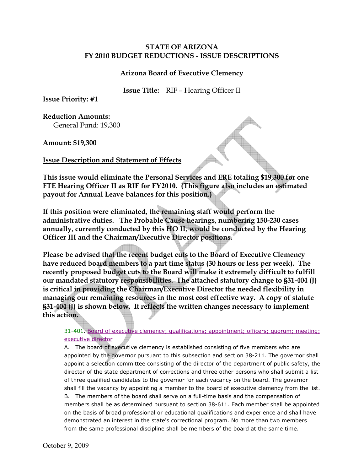#### **Arizona Board of Executive Clemency**

**Issue Title:** RIF – Hearing Officer II

**Issue Priority: #1** 

**Reduction Amounts:**  General Fund: 19,300

**Amount: \$19,300**

#### **Issue Description and Statement of Effects**

**This issue would eliminate the Personal Services and ERE totaling \$19,300 for one FTE Hearing Officer II as RIF for FY2010. (This figure also includes an estimated payout for Annual Leave balances for this position.)** 

**If this position were eliminated, the remaining staff would perform the administrative duties. The Probable Cause hearings, numbering 150-230 cases annually, currently conducted by this HO II, would be conducted by the Hearing Officer III and the Chairman/Executive Director positions.** 

**Please be advised that the recent budget cuts to the Board of Executive Clemency have reduced board members to a part time status (30 hours or less per week). The recently proposed budget cuts to the Board will make it extremely difficult to fulfill our mandated statutory responsibilities. The attached statutory change to §31-404 (J) is critical in providing the Chairman/Executive Director the needed flexibility in managing our remaining resources in the most cost effective way. A copy of statute §31-404 (J) is shown below. It reflects the written changes necessary to implement this action.** 

31-401. Board of executive clemency; qualifications; appointment; officers; quorum; meeting; executive director

A. The board of executive clemency is established consisting of five members who are appointed by the governor pursuant to this subsection and section 38-211. The governor shall appoint a selection committee consisting of the director of the department of public safety, the director of the state department of corrections and three other persons who shall submit a list of three qualified candidates to the governor for each vacancy on the board. The governor shall fill the vacancy by appointing a member to the board of executive clemency from the list. B. The members of the board shall serve on a full-time basis and the compensation of members shall be as determined pursuant to section 38-611. Each member shall be appointed on the basis of broad professional or educational qualifications and experience and shall have demonstrated an interest in the state's correctional program. No more than two members from the same professional discipline shall be members of the board at the same time.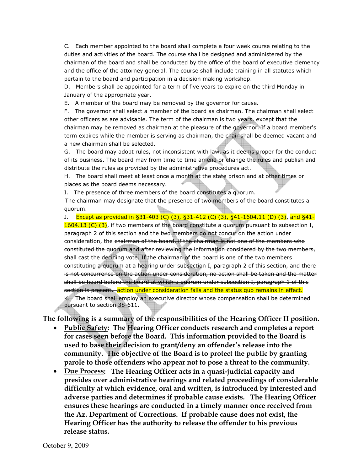C. Each member appointed to the board shall complete a four week course relating to the duties and activities of the board. The course shall be designed and administered by the chairman of the board and shall be conducted by the office of the board of executive clemency and the office of the attorney general. The course shall include training in all statutes which pertain to the board and participation in a decision making workshop.

D. Members shall be appointed for a term of five years to expire on the third Monday in January of the appropriate year.

E. A member of the board may be removed by the governor for cause.

F. The governor shall select a member of the board as chairman. The chairman shall select other officers as are advisable. The term of the chairman is two years, except that the chairman may be removed as chairman at the pleasure of the governor. If a board member's term expires while the member is serving as chairman, the chair shall be deemed vacant and a new chairman shall be selected.

G. The board may adopt rules, not inconsistent with law, as it deems proper for the conduct of its business. The board may from time to time amend or change the rules and publish and distribute the rules as provided by the administrative procedures act.

H. The board shall meet at least once a month at the state prison and at other times or places as the board deems necessary.

I. The presence of three members of the board constitutes a quorum.

The chairman may designate that the presence of two members of the board constitutes a quorum.

J. Except as provided in §31-403 (C) (3), §31-412 (C) (3), §41-1604.11 (D) (3), and §41- 1604.13 (C) (3), if two members of the board constitute a quorum pursuant to subsection I, paragraph 2 of this section and the two members do not concur on the action under consideration, the chairman of the board, if the chairman is not one of the members who constituted the quorum and after reviewing the information considered by the two members, shall cast the deciding vote. If the chairman of the board is one of the two members constituting a quorum at a hearing under subsection I, paragraph 2 of this section, and there is not concurrence on the action under consideration, no action shall be taken and the matter shall be heard before the board at which a quorum under subsection I, paragraph 1 of this section is present. action under consideration fails and the status quo remains in effect.

K. The board shall employ an executive director whose compensation shall be determined pursuant to section 38-611.

**The following is a summary of the responsibilities of the Hearing Officer II position.** 

- **Public Safety: The Hearing Officer conducts research and completes a report for cases seen before the Board. This information provided to the Board is used to base their decision to grant/deny an offender's release into the community. The objective of the Board is to protect the public by granting parole to those offenders who appear not to pose a threat to the community.**
- **Due Process: The Hearing Officer acts in a quasi-judicial capacity and presides over administrative hearings and related proceedings of considerable difficulty at which evidence, oral and written, is introduced by interested and adverse parties and determines if probable cause exists. The Hearing Officer ensures these hearings are conducted in a timely manner once received from the Az. Department of Corrections. If probable cause does not exist, the Hearing Officer has the authority to release the offender to his previous release status.**

October 9, 2009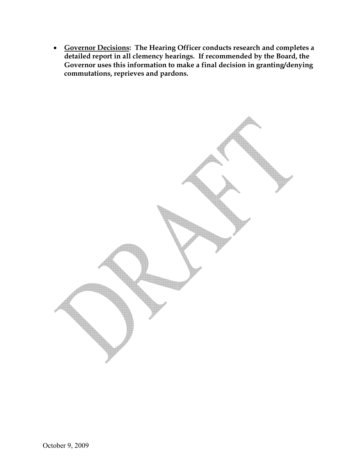• **Governor Decisions: The Hearing Officer conducts research and completes a detailed report in all clemency hearings. If recommended by the Board, the Governor uses this information to make a final decision in granting/denying commutations, reprieves and pardons.** 

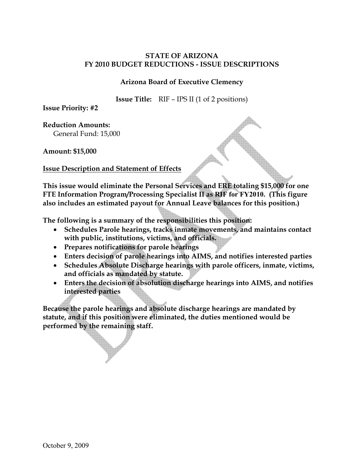## **Arizona Board of Executive Clemency**

**Issue Title:** RIF – IPS II (1 of 2 positions)

**Issue Priority: #2** 

**Reduction Amounts:** 

General Fund: 15,000

**Amount: \$15,000**

**Issue Description and Statement of Effects**

**This issue would eliminate the Personal Services and ERE totaling \$15,000 for one FTE Information Program/Processing Specialist II as RIF for FY2010. (This figure also includes an estimated payout for Annual Leave balances for this position.)** 

**The following is a summary of the responsibilities this position:** 

- **Schedules Parole hearings, tracks inmate movements, and maintains contact with public, institutions, victims, and officials.**
- **Prepares notifications for parole hearings**
- **Enters decision of parole hearings into AIMS, and notifies interested parties**
- **Schedules Absolute Discharge hearings with parole officers, inmate, victims, and officials as mandated by statute.**
- **Enters the decision of absolution discharge hearings into AIMS, and notifies interested parties**

**Because the parole hearings and absolute discharge hearings are mandated by statute, and if this position were eliminated, the duties mentioned would be performed by the remaining staff.**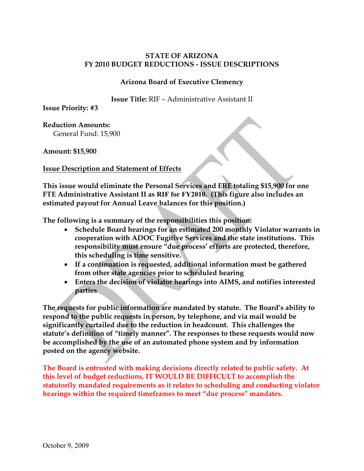## **Arizona Board of Executive Clemency**

**Issue Title:** RIF – Administrative Assistant II

**Issue Priority: #3** 

**Reduction Amounts:**  General Fund: 15,900

**Amount: \$15,900** 

**Issue Description and Statement of Effects**

**This issue would eliminate the Personal Services and ERE totaling \$15,900 for one FTE Administrative Assistant II as RIF for FY2010. (This figure also includes an estimated payout for Annual Leave balances for this position.)** 

**The following is a summary of the responsibilities this position:** 

- **Schedule Board hearings for an estimated 200 monthly Violator warrants in cooperation with ADOC Fugitive Services and the state institutions. This responsibility must ensure "due process' efforts are protected, therefore, this scheduling is time sensitive.**
- **If a continuation is requested, additional information must be gathered from other state agencies prior to scheduled hearing**
- **Enters the decision of violator hearings into AIMS, and notifies interested parties**

**The requests for public information are mandated by statute. The Board's ability to respond to the public requests in person, by telephone, and via mail would be significantly curtailed due to the reduction in headcount. This challenges the statute's definition of "timely manner". The responses to these requests would now be accomplished by the use of an automated phone system and by information posted on the agency website.** 

**The Board is entrusted with making decisions directly related to public safety. At this level of budget reductions, IT WOULD BE DIFFICULT to accomplish the statutorily mandated requirements as it relates to scheduling and conducting violator hearings within the required timeframes to meet "due process" mandates.**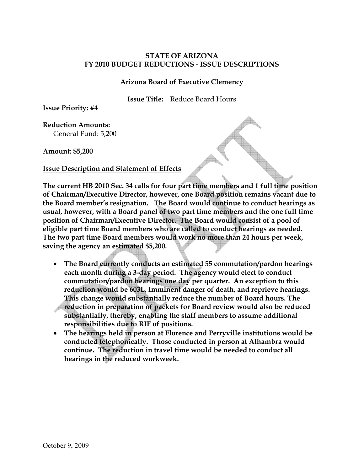#### **Arizona Board of Executive Clemency**

**Issue Title:** Reduce Board Hours

**Issue Priority: #4** 

**Reduction Amounts:**  General Fund: 5,200

**Amount: \$5,200** 

#### **Issue Description and Statement of Effects**

**The current HB 2010 Sec. 34 calls for four part time members and 1 full time position of Chairman/Executive Director, however, one Board position remains vacant due to the Board member's resignation. The Board would continue to conduct hearings as usual, however, with a Board panel of two part time members and the one full time position of Chairman/Executive Director. The Board would consist of a pool of eligible part time Board members who are called to conduct hearings as needed. The two part time Board members would work no more than 24 hours per week, saving the agency an estimated \$5,200.** 

- **The Board currently conducts an estimated 55 commutation/pardon hearings each month during a 3-day period. The agency would elect to conduct commutation/pardon hearings one day per quarter. An exception to this reduction would be 603L, Imminent danger of death, and reprieve hearings. This change would substantially reduce the number of Board hours. The reduction in preparation of packets for Board review would also be reduced substantially, thereby, enabling the staff members to assume additional responsibilities due to RIF of positions.**
- **The hearings held in person at Florence and Perryville institutions would be conducted telephonically. Those conducted in person at Alhambra would continue. The reduction in travel time would be needed to conduct all hearings in the reduced workweek.**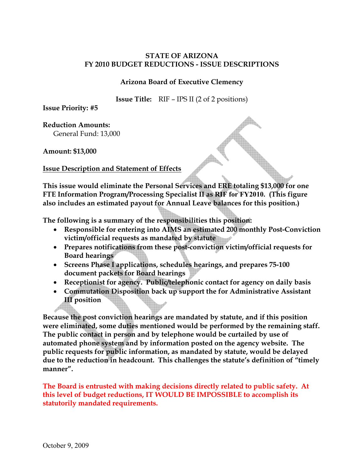## **Arizona Board of Executive Clemency**

**Issue Title:** RIF – IPS II (2 of 2 positions)

**Issue Priority: #5** 

**Reduction Amounts:** 

General Fund: 13,000

**Amount: \$13,000** 

**Issue Description and Statement of Effects**

**This issue would eliminate the Personal Services and ERE totaling \$13,000 for one FTE Information Program/Processing Specialist II as RIF for FY2010. (This figure also includes an estimated payout for Annual Leave balances for this position.)** 

**The following is a summary of the responsibilities this position:** 

- **Responsible for entering into AIMS an estimated 200 monthly Post-Conviction victim/official requests as mandated by statute**
- **Prepares notifications from these post-conviction victim/official requests for Board hearings**
- **Screens Phase I applications, schedules hearings, and prepares 75-100 document packets for Board hearings**
- **Receptionist for agency. Public/telephonic contact for agency on daily basis**
- **Commutation Disposition back up support the for Administrative Assistant III position**

**Because the post conviction hearings are mandated by statute, and if this position were eliminated, some duties mentioned would be performed by the remaining staff. The public contact in person and by telephone would be curtailed by use of automated phone system and by information posted on the agency website. The public requests for public information, as mandated by statute, would be delayed due to the reduction in headcount. This challenges the statute's definition of "timely manner".**

**The Board is entrusted with making decisions directly related to public safety. At this level of budget reductions, IT WOULD BE IMPOSSIBLE to accomplish its statutorily mandated requirements.**